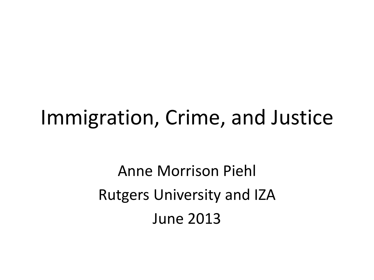### Immigration, Crime, and Justice

Anne Morrison Piehl Rutgers University and IZA June 2013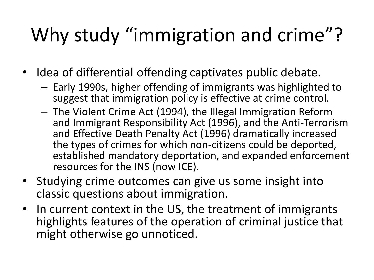## Why study "immigration and crime"?

- Idea of differential offending captivates public debate.
	- Early 1990s, higher offending of immigrants was highlighted to suggest that immigration policy is effective at crime control.
	- The Violent Crime Act (1994), the Illegal Immigration Reform and Immigrant Responsibility Act (1996), and the Anti-Terrorism and Effective Death Penalty Act (1996) dramatically increased the types of crimes for which non-citizens could be deported, established mandatory deportation, and expanded enforcement resources for the INS (now ICE).
- Studying crime outcomes can give us some insight into classic questions about immigration.
- In current context in the US, the treatment of immigrants highlights features of the operation of criminal justice that might otherwise go unnoticed.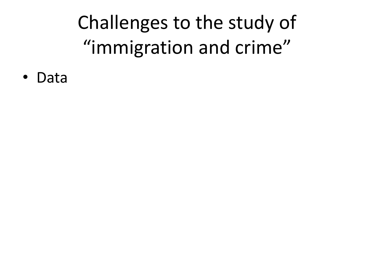• Data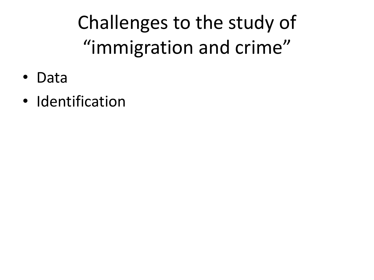- Data
- Identification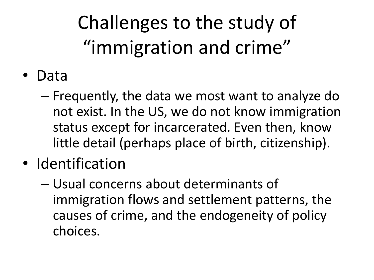- Data
	- Frequently, the data we most want to analyze do not exist. In the US, we do not know immigration status except for incarcerated. Even then, know little detail (perhaps place of birth, citizenship).
- Identification
	- Usual concerns about determinants of immigration flows and settlement patterns, the causes of crime, and the endogeneity of policy choices.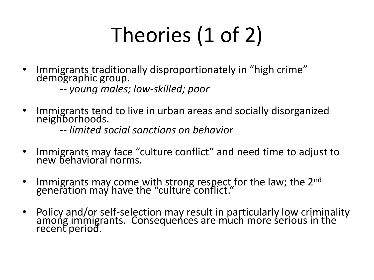# Theories (1 of 2)

Immigrants traditionally disproportionately in "high crime" demographic group.

*-- young males; low-skilled; poor*

• Immigrants tend to live in urban areas and socially disorganized neighborhoods.

-- *limited social sanctions on behavior*

- Immigrants may face "culture conflict" and need time to adjust to new behavioral norms.
- Immigrants may come with strong respect for the law; the 2<sup>nd</sup> generation may have the "culture conflict."
- Policy and/or self-selection may result in particularly low criminality among immigrants. Consequences are much more serious in the recent period.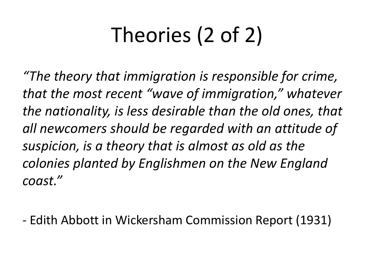# Theories (2 of 2)

*"The theory that immigration is responsible for crime, that the most recent "wave of immigration," whatever the nationality, is less desirable than the old ones, that all newcomers should be regarded with an attitude of suspicion, is a theory that is almost as old as the colonies planted by Englishmen on the New England coast."* 

- Edith Abbott in Wickersham Commission Report (1931)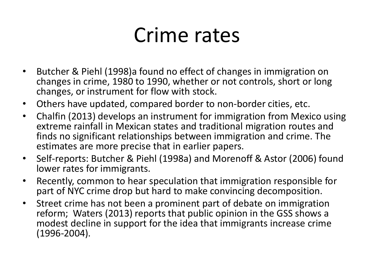## Crime rates

- Butcher & Piehl (1998)a found no effect of changes in immigration on changes in crime, 1980 to 1990, whether or not controls, short or long changes, or instrument for flow with stock.
- Others have updated, compared border to non-border cities, etc.
- Chalfin (2013) develops an instrument for immigration from Mexico using extreme rainfall in Mexican states and traditional migration routes and finds no significant relationships between immigration and crime. The estimates are more precise that in earlier papers.
- Self-reports: Butcher & Piehl (1998a) and Morenoff & Astor (2006) found lower rates for immigrants.
- Recently, common to hear speculation that immigration responsible for part of NYC crime drop but hard to make convincing decomposition.
- Street crime has not been a prominent part of debate on immigration reform; Waters (2013) reports that public opinion in the GSS shows a modest decline in support for the idea that immigrants increase crime (1996-2004).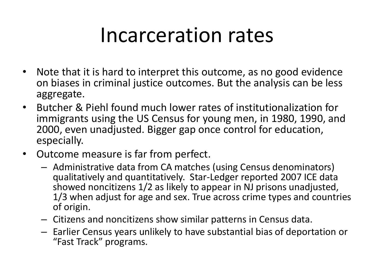### Incarceration rates

- Note that it is hard to interpret this outcome, as no good evidence on biases in criminal justice outcomes. But the analysis can be less aggregate.
- Butcher & Piehl found much lower rates of institutionalization for immigrants using the US Census for young men, in 1980, 1990, and 2000, even unadjusted. Bigger gap once control for education, especially.
- Outcome measure is far from perfect.
	- Administrative data from CA matches (using Census denominators) qualitatively and quantitatively. Star-Ledger reported 2007 ICE data showed noncitizens 1/2 as likely to appear in NJ prisons unadjusted, 1/3 when adjust for age and sex. True across crime types and countries of origin.
	- Citizens and noncitizens show similar patterns in Census data.
	- Earlier Census years unlikely to have substantial bias of deportation or "Fast Track" programs.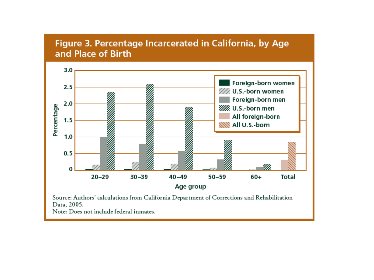#### Figure 3. Percentage Incarcerated in California, by Age and Place of Birth  $3.0$ Foreign-born women  $2.5$ /// U.S.-born women



Source: Authors' calculations from California Department of Corrections and Rehabilitation Data, 2005.

Note: Does not include federal inmates.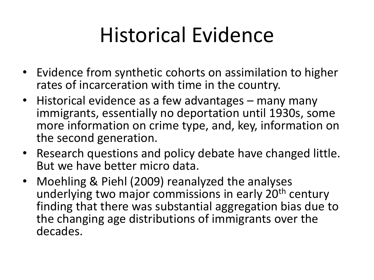## Historical Evidence

- Evidence from synthetic cohorts on assimilation to higher rates of incarceration with time in the country.
- Historical evidence as a few advantages many many immigrants, essentially no deportation until 1930s, some more information on crime type, and, key, information on the second generation.
- Research questions and policy debate have changed little. But we have better micro data.
- Moehling & Piehl (2009) reanalyzed the analyses underlying two major commissions in early 20<sup>th</sup> century finding that there was substantial aggregation bias due to the changing age distributions of immigrants over the decades.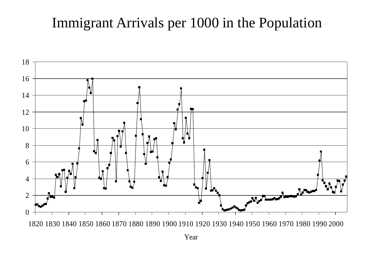### Immigrant Arrivals per 1000 in the Population



Year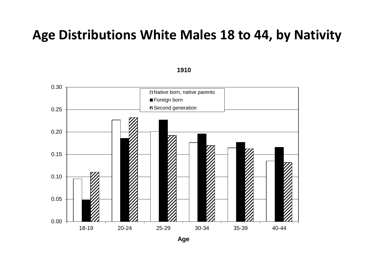#### **Age Distributions White Males 18 to 44, by Nativity**

0.00 0.05 0.10 0.15 0.20 0.25 0.30 18-19 20-24 25-29 30-34 35-39 40-44 Native born, native parents Foreign born **Z** Second generation

**1910**

**Age**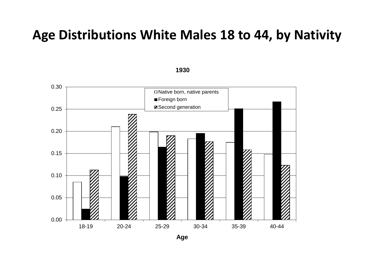#### **Age Distributions White Males 18 to 44, by Nativity**



**1930**

**Age**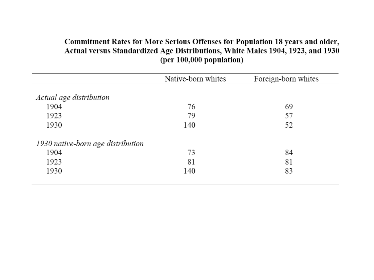#### Commitment Rates for More Serious Offenses for Population 18 years and older, Actual versus Standardized Age Distributions, White Males 1904, 1923, and 1930 (per 100,000 population)

|                                   | Native-born whites | Foreign-born whites |  |  |
|-----------------------------------|--------------------|---------------------|--|--|
|                                   |                    |                     |  |  |
| Actual age distribution           |                    |                     |  |  |
| 1904                              | 76                 | 69                  |  |  |
| 1923                              | 79                 | 57                  |  |  |
| 1930                              | 140                | 52                  |  |  |
| 1930 native-born age distribution |                    |                     |  |  |
| 1904                              | 73                 | 84                  |  |  |
| 1923                              | 81                 | 81                  |  |  |
| 1930                              | 140                | 83                  |  |  |
|                                   |                    |                     |  |  |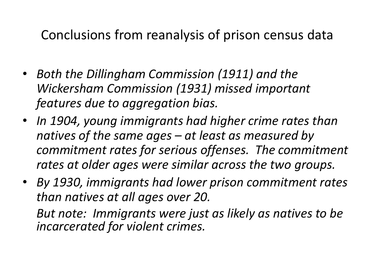### Conclusions from reanalysis of prison census data

- *Both the Dillingham Commission (1911) and the Wickersham Commission (1931) missed important features due to aggregation bias.*
- *In 1904, young immigrants had higher crime rates than natives of the same ages – at least as measured by commitment rates for serious offenses. The commitment rates at older ages were similar across the two groups.*
- *By 1930, immigrants had lower prison commitment rates than natives at all ages over 20.*

*But note: Immigrants were just as likely as natives to be incarcerated for violent crimes.*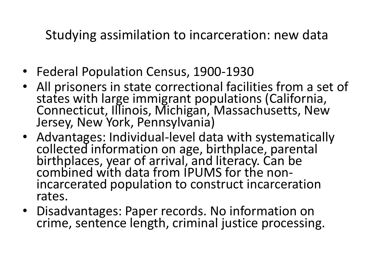Studying assimilation to incarceration: new data

- Federal Population Census, 1900-1930
- All prisoners in state correctional facilities from a set of states with large immigrant populations (California, Connecticut, Illinois, Michigan, Massachusetts, New Jersey, New York, Pennsylvania)
- Advantages: Individual-level data with systematically collected information on age, birthplace, parental birthplaces, year of arrival, and literacy. Can be combined with data from IPUMS for the nonincarcerated population to construct incarceration rates.
- Disadvantages: Paper records. No information on crime, sentence length, criminal justice processing.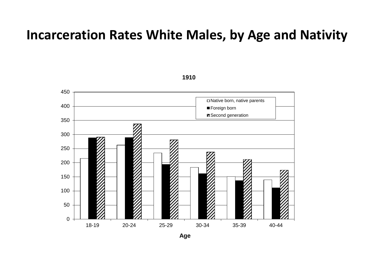#### **Incarceration Rates White Males, by Age and Nativity**



**Age**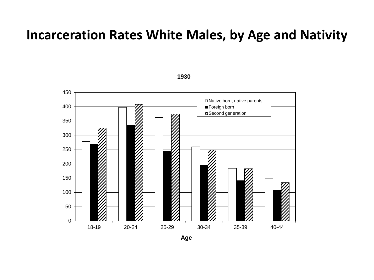#### **Incarceration Rates White Males, by Age and Nativity**

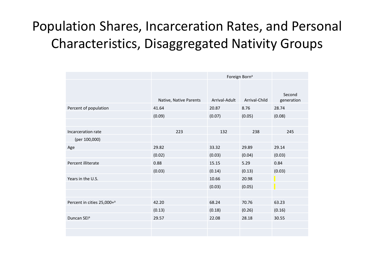### Population Shares, Incarceration Rates, and Personal Characteristics, Disaggregated Nativity Groups

|                                        |                        | Foreign Born <sup>a</sup> |               |                      |
|----------------------------------------|------------------------|---------------------------|---------------|----------------------|
|                                        | Native, Native Parents | Arrival-Adult             | Arrival-Child | Second<br>generation |
| Percent of population                  | 41.64                  | 20.87                     | 8.76          | 28.74                |
|                                        | (0.09)                 | (0.07)                    | (0.05)        | (0.08)               |
|                                        |                        |                           |               |                      |
| Incarceration rate                     | 223                    | 132                       | 238           | 245                  |
| (per 100,000)                          |                        |                           |               |                      |
| Age                                    | 29.82                  | 33.32                     | 29.89         | 29.14                |
|                                        | (0.02)                 | (0.03)                    | (0.04)        | (0.03)               |
| Percent illiterate                     | 0.88                   | 15.15                     | 5.29          | 0.84                 |
|                                        | (0.03)                 | (0.14)                    | (0.13)        | (0.03)               |
| Years in the U.S.                      |                        | 10.66                     | 20.98         |                      |
|                                        |                        | (0.03)                    | (0.05)        |                      |
|                                        |                        |                           |               |                      |
| Percent in cities 25,000+ <sup>a</sup> | 42.20                  | 68.24                     | 70.76         | 63.23                |
|                                        | (0.13)                 | (0.18)                    | (0.26)        | (0.16)               |
| Duncan SEI <sup>a</sup>                | 29.57                  | 22.08                     | 28.18         | 30.55                |
|                                        |                        |                           |               |                      |
|                                        |                        |                           |               |                      |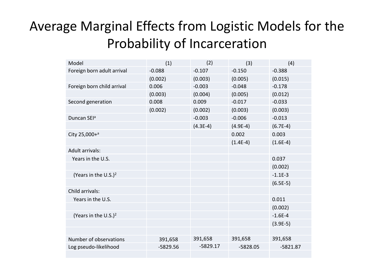### Average Marginal Effects from Logistic Models for the Probability of Incarceration

| Model                            | (1)        | (2)        | (3)        | (4)        |
|----------------------------------|------------|------------|------------|------------|
| Foreign born adult arrival       | $-0.088$   | $-0.107$   | $-0.150$   | $-0.388$   |
|                                  | (0.002)    | (0.003)    | (0.005)    | (0.015)    |
| Foreign born child arrival       | 0.006      | $-0.003$   | $-0.048$   | $-0.178$   |
|                                  | (0.003)    | (0.004)    | (0.005)    | (0.012)    |
| Second generation                | 0.008      | 0.009      | $-0.017$   | $-0.033$   |
|                                  | (0.002)    | (0.002)    | (0.003)    | (0.003)    |
| Duncan SEI <sup>a</sup>          |            | $-0.003$   | $-0.006$   | $-0.013$   |
|                                  |            | $(4.3E-4)$ | $(4.9E-4)$ | $(6.7E-4)$ |
| City 25,000+a                    |            |            | 0.002      | 0.003      |
|                                  |            |            | $(1.4E-4)$ | $(1.6E-4)$ |
| <b>Adult arrivals:</b>           |            |            |            |            |
| Years in the U.S.                |            |            |            | 0.037      |
|                                  |            |            |            | (0.002)    |
| (Years in the U.S.) <sup>2</sup> |            |            |            | $-1.1E-3$  |
|                                  |            |            |            | $(6.5E-5)$ |
| Child arrivals:                  |            |            |            |            |
| Years in the U.S.                |            |            |            | 0.011      |
|                                  |            |            |            | (0.002)    |
| (Years in the U.S.) <sup>2</sup> |            |            |            | $-1.6E-4$  |
|                                  |            |            |            | $(3.9E-5)$ |
|                                  |            |            |            |            |
| Number of observations           | 391,658    | 391,658    | 391,658    | 391,658    |
| Log pseudo-likelihood            | $-5829.56$ | $-5829.17$ | $-5828.05$ | $-5821.87$ |
|                                  |            |            |            |            |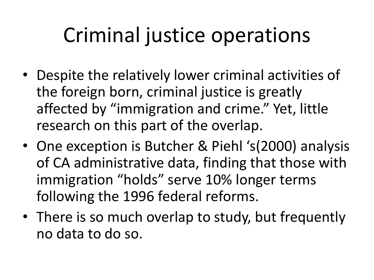# Criminal justice operations

- Despite the relatively lower criminal activities of the foreign born, criminal justice is greatly affected by "immigration and crime." Yet, little research on this part of the overlap.
- One exception is Butcher & Piehl 's(2000) analysis of CA administrative data, finding that those with immigration "holds" serve 10% longer terms following the 1996 federal reforms.
- There is so much overlap to study, but frequently no data to do so.